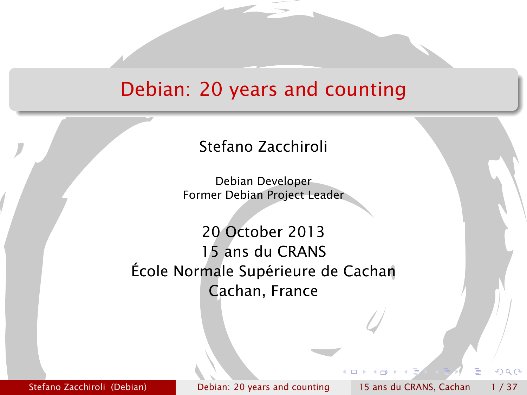## Debian: 20 years and counting

#### Stefano Zacchiroli

Debian Developer Former Debian Project Leader

20 October 2013 15 ans du CRANS École Normale Supérieure de Cachan Cachan, France

Stefano Zacchiroli (Debian) [Debian: 20 years and counting](#page-40-0) 15 ans du CRANS, Cachan 1/37

<span id="page-0-0"></span>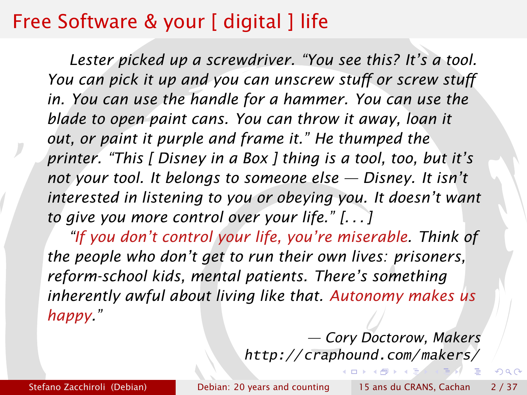## Free Software & your [ digital ] life

*Lester picked up a screwdriver. "You see this? It's a tool. You can pick it up and you can unscrew stuff or screw stuff in. You can use the handle for a hammer. You can use the blade to open paint cans. You can throw it away, loan it out, or paint it purple and frame it." He thumped the printer. "This [ Disney in a Box ] thing is a tool, too, but it's not your tool. It belongs to someone else — Disney. It isn't interested in listening to you or obeying you. It doesn't want to give you more control over your life." [. . . ]*

*"If you don't control your life, you're miserable. Think of the people who don't get to run their own lives: prisoners, reform-school kids, mental patients. There's something inherently awful about living like that. Autonomy makes us happy."*

> *— Cory Doctorow, Makers* <http://craphound.com/makers/>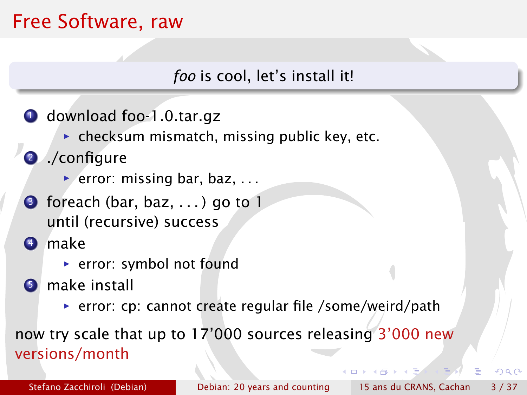## Free Software, raw

*foo* is cool, let's install it!

- **1** download foo-1.0.tar.gz
	- **Following checksum mismatch, missing public key, etc.**
- <sup>2</sup> ./configure
	- ▶ error: missing bar, baz, ...
- $\bullet$  foreach (bar, baz, ...) go to 1 until (recursive) success
- <sup>4</sup> make
	- **For** error: symbol not found
- **6** make install
	- **P** error: cp: cannot create regular file /some/weird/path

now try scale that up to 17'000 sources releasing 3'000 new versions/month

<span id="page-2-0"></span>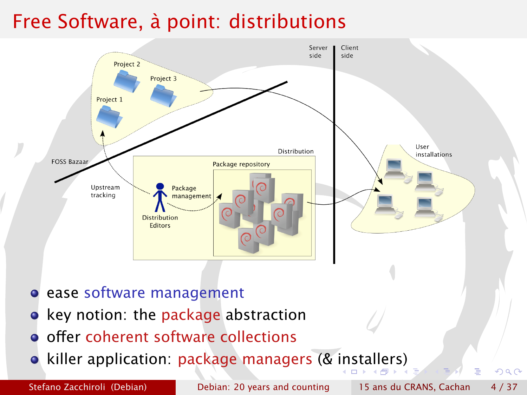## Free Software, à point: distributions



- **ease software management**
- key notion: the package abstraction
- o offer coherent software collections
- **•** killer application: package managers (& [in](#page-2-0)s[ta](#page-4-0)[l](#page-2-0)[le](#page-3-0)[rs](#page-4-0)[\)](#page-0-0)

<span id="page-3-0"></span>

Stefano Zacchiroli (Debian) [Debian: 20 years and counting](#page-0-0) 15 ans du CRANS, Cachan 4/37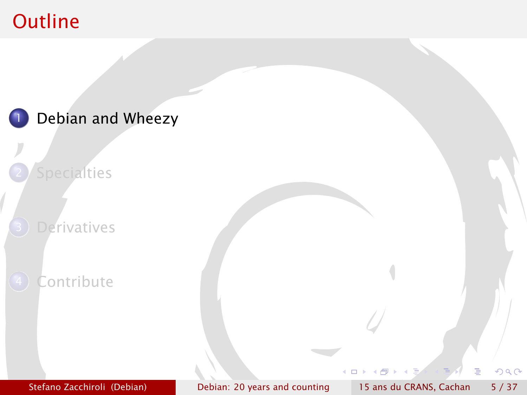## **Outline**

<span id="page-4-0"></span>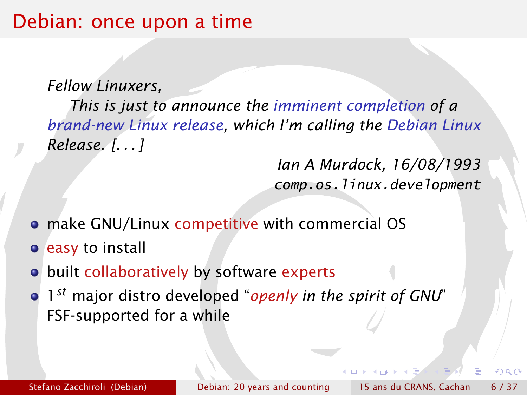#### Debian: once upon a time

*Fellow Linuxers,*

*This is just to announce the imminent completion of a brand-new Linux release, which I'm calling the Debian Linux Release. [. . . ]*

> *Ian A Murdock, 16/08/1993* comp.os.linux.development

- make GNU/Linux competitive with commercial OS
- **e** easy to install
- o built collaboratively by software experts
- 1 *st* major distro developed "*openly in the spirit of GNU*" FSF-supported for a while

റ പ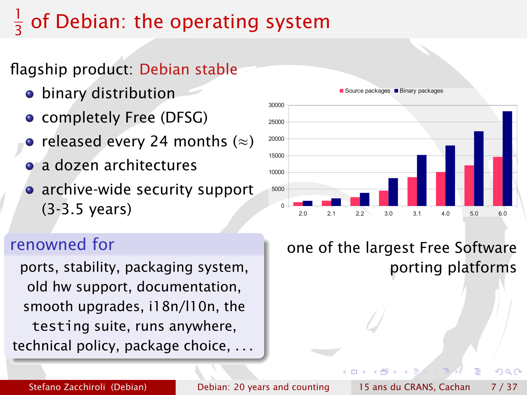#### 1 3 of Debian: the operating system

#### flagship product: Debian stable

- binary distribution
- completely Free (DFSG)
- released every 24 months  $(\approx)$
- a dozen architectures
- archive-wide security support (3-3.5 years)

#### renowned for

ports, stability, packaging system, old hw support, documentation, smooth upgrades, i18n/l10n, the testing suite, runs anywhere, technical policy, package choice, . . .



#### Source packages **Binary packages**

one of the largest Free Software porting platforms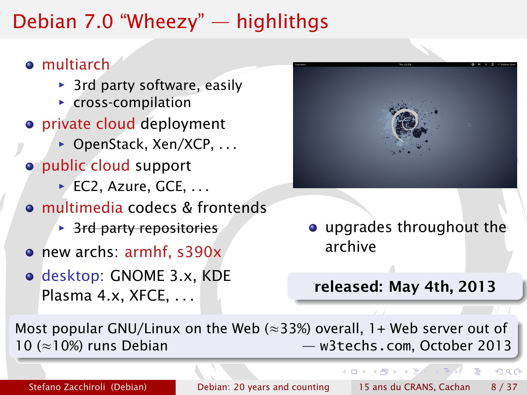## Debian 7.0 "Wheezy" — highlithgs

#### **o** multiarch

- ▶ 3rd party software, easily
- **F** cross-compilation
- **•** private cloud deployment
	- ▶ OpenStack, Xen/XCP, . . .
- public cloud support
	- **▶ EC2, Azure, GCE, ...**
- multimedia codecs & frontends
	- **B** 3rd party repositories
- new archs: armhf, s390x
- desktop: GNOME 3.x, KDE Plasma 4.x, XFCE, ...



upgrades throughout the archive

#### released: May 4th, 2013

**4 ロ ト 4 何 ト 4** 

Most popular GNU/Linux on the Web ( $\approx$ 33%) overall, 1+ Web server out of 10 (≈10%) runs Debian — [w3techs.com](http://w3techs.com), October 2013

Stefano Zacchiroli (Debian) [Debian: 20 years and counting](#page-0-0) 15 ans du CRANS, Cachan 8 / 37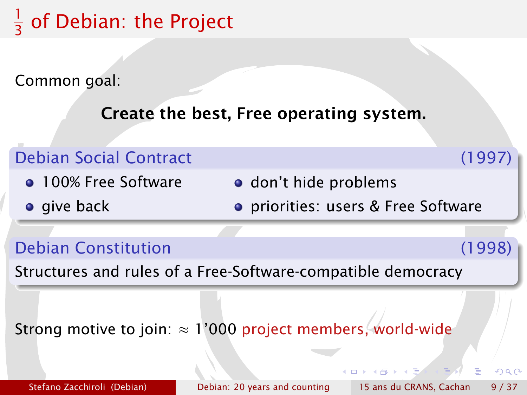#### 1  $\frac{1}{3}$  of Debian: the Project

Common goal:

Create the best, Free operating system.

#### Debian Social Contract (1997) **• 100% Free Software o** give back o don't hide problems priorities: users & Free Software

Debian Constitution (1998)

 $\cap$  a  $\cap$ 

Structures and rules of a Free-Software-compatible democracy

Strong motive to join:  $\approx 1'000$  project members, world-wide

Stefano Zacchiroli (Debian) [Debian: 20 years and counting](#page-0-0) 15 ans du CRANS, Cachan 9/37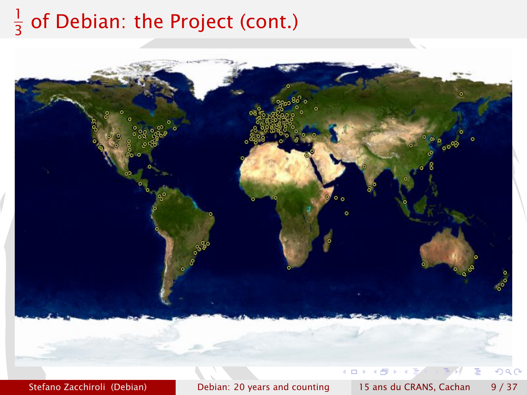#### 1  $\frac{1}{3}$  of Debian: the Project (cont.)

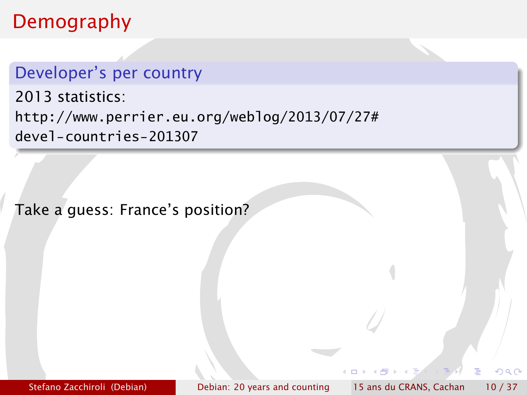#### Demography

#### Developer's per country

2013 statistics: [http://www.perrier.eu.org/weblog/2013/07/27#](http://www.perrier.eu.org/weblog/2013/07/27#devel-countries-201307) [devel-countries-201307](http://www.perrier.eu.org/weblog/2013/07/27#devel-countries-201307)

Take a guess: France's position?

Stefano Zacchiroli (Debian) [Debian: 20 years and counting](#page-0-0) 15 ans du CRANS, Cachan 10 / 37

つQへ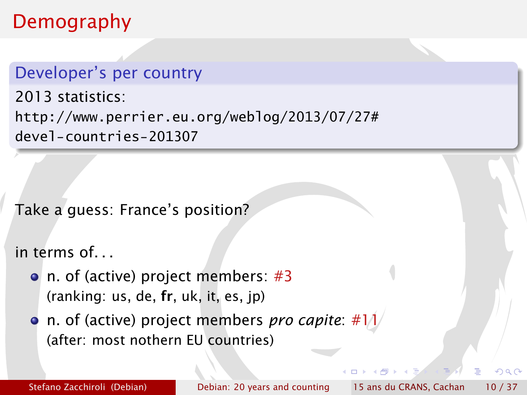## Demography

#### Developer's per country

2013 statistics: [http://www.perrier.eu.org/weblog/2013/07/27#](http://www.perrier.eu.org/weblog/2013/07/27#devel-countries-201307) [devel-countries-201307](http://www.perrier.eu.org/weblog/2013/07/27#devel-countries-201307)

Take a guess: France's position?

in terms of. . .

- n. of (active) project members: #3 (ranking: us, de, fr, uk, it, es, jp)
- **•** n. of (active) project members *pro capite*: #1/ (after: most nothern EU countries)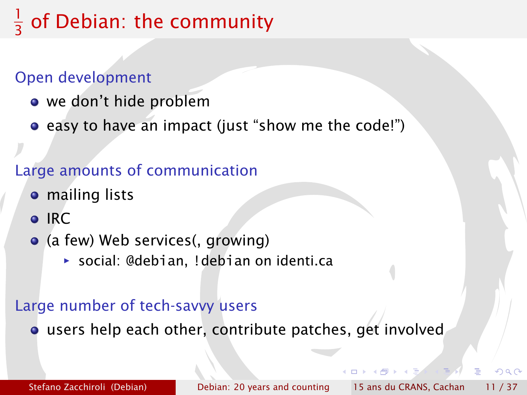#### 1 3 of Debian: the community

#### Open development

- we don't hide problem
- easy to have an impact (just "show me the code!")

#### Large amounts of communication

- **•** mailing lists
- o IRC
- (a few) Web services(, growing)
	- **▶ social: @debian, !debian on identi.ca**

#### Large number of tech-savvy users

users help each other, contribute patches, get involved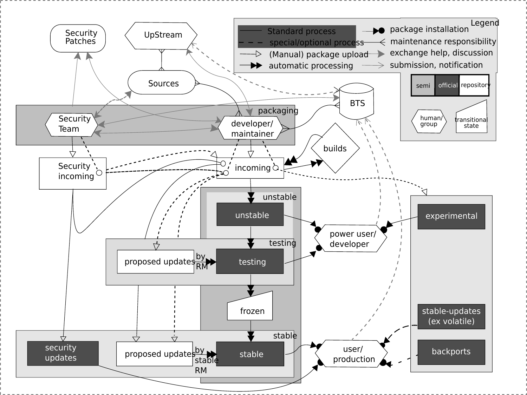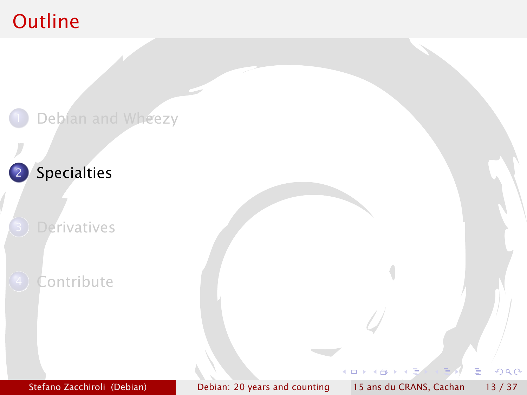## **Outline**

<span id="page-14-0"></span>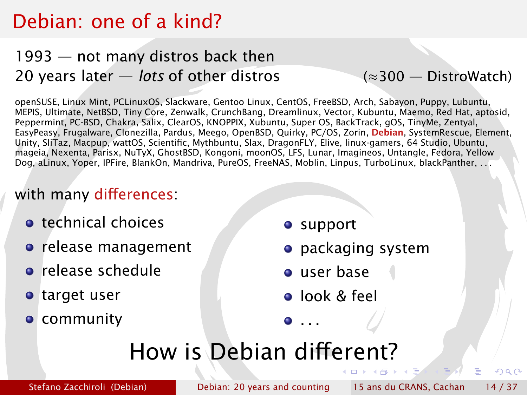## Debian: one of a kind?

#### 1993 — not many distros back then 20 years later — *lots* of other distros (≈300 — [DistroWatch\)](http://distrowatch.com)

openSUSE, Linux Mint, PCLinuxOS, Slackware, Gentoo Linux, CentOS, FreeBSD, Arch, Sabayon, Puppy, Lubuntu, MEPIS, Ultimate, NetBSD, Tiny Core, Zenwalk, CrunchBang, Dreamlinux, Vector, Kubuntu, Maemo, Red Hat, aptosid, Peppermint, PC-BSD, Chakra, Salix, ClearOS, KNOPPIX, Xubuntu, Super OS, BackTrack, gOS, TinyMe, Zentyal, EasyPeasy, Frugalware, Clonezilla, Pardus, Meego, OpenBSD, Quirky, PC/OS, Zorin, Debian, SystemRescue, Element, Unity, SliTaz, Macpup, wattOS, Scientific, Mythbuntu, Slax, DragonFLY, Elive, linux-gamers, 64 Studio, Ubuntu, mageia, Nexenta, Parisx, NuTyX, GhostBSD, Kongoni, moonOS, LFS, Lunar, Imagineos, Untangle, Fedora, Yellow Dog, aLinux, Yoper, IPFire, BlankOn, Mandriva, PureOS, FreeNAS, Moblin, Linpus, TurboLinux, blackPanther, . . .

#### with many differences:

- **o** technical choices
- **o** release management
- **•** release schedule
- target user
- **o** community
- **o** support
- **•** packaging system
- user base
- **o** look & feel

 $\bullet$  . . .

# How is Debian different?

Stefano Zacchiroli (Debian) [Debian: 20 years and counting](#page-0-0) 15 ans du CRANS, Cachan 14 / 37

つQへ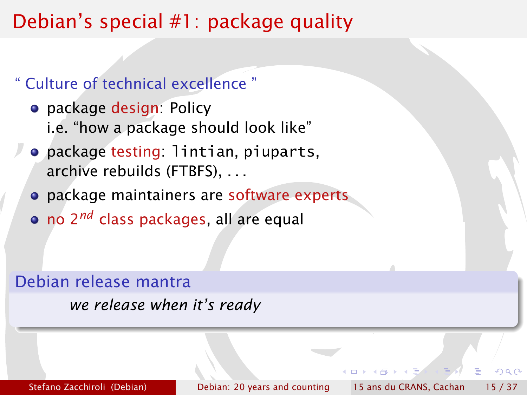## Debian's special #1: package quality

#### " Culture of technical excellence "

- **•** package design: Policy i.e. "how a package should look like"
- package testing: lintian, piuparts, archive rebuilds (FTBFS), . . .
- **•** package maintainers are software experts
- no 2*nd* class packages, all are equal

#### Debian release mantra

*we release when it's ready*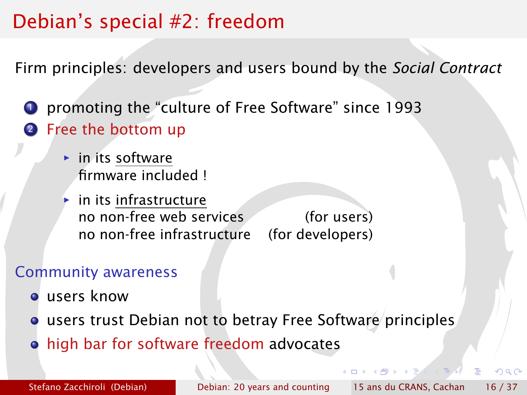## Debian's special #2: freedom

Firm principles: developers and users bound by the *Social Contract*

<sup>1</sup> promoting the "culture of Free Software" since 1993 **2** Free the bottom up

- **in** its software firmware included !
- *<sup>ñ</sup>* in its infrastructure no non-free web services (for users) no non-free infrastructure (for developers)

#### Community awareness

- users know
- **o** users trust Debian not to betray Free Software principles
- high bar for software freedom advocates

Stefano Zacchiroli (Debian) [Debian: 20 years and counting](#page-0-0) 15 ans du CRANS, Cachan 16 / 37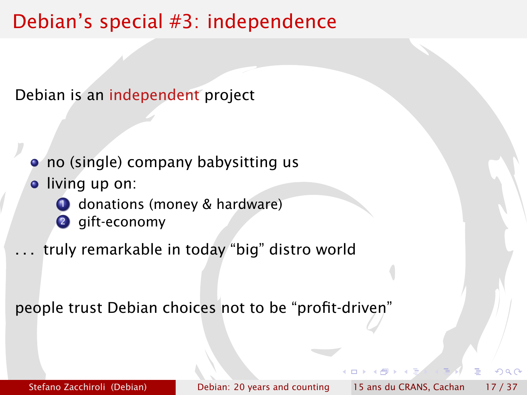## Debian's special #3: independence

Debian is an independent project

- no (single) company babysitting us
- **.** living up on:
	- **1** donations (money & hardware)
	- <sup>2</sup> gift-economy
- truly remarkable in today "big" distro world

<span id="page-18-0"></span>people trust Debian choices not to be "profit-driven"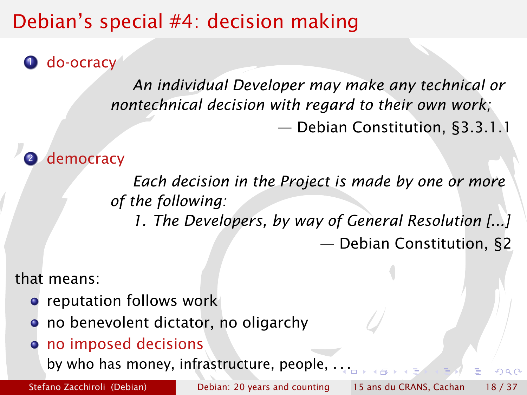## Debian's special #4: decision making

**O** do-ocracy

*An individual Developer may make any technical or nontechnical decision with regard to their own work;* — Debian Constitution, §3.3.1.1

democracy

*Each decision in the Project is made by one or more of the following:*

*1. The Developers, by way of General Resolution [...]* — Debian Constitution, §2

that means:

- **•** reputation follows work
- **o** no benevolent dictator, no oligarchy
- no imposed decisions

by who has money, infrastructure, people, . [. .](#page-18-0)

Stefano Zacchiroli (Debian) [Debian: 20 years and counting](#page-0-0) 15 ans du CRANS, Cachan 18 / 37

<span id="page-19-0"></span>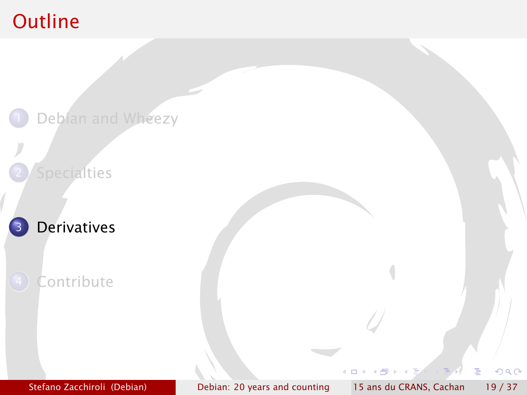## **Outline**

<span id="page-20-0"></span>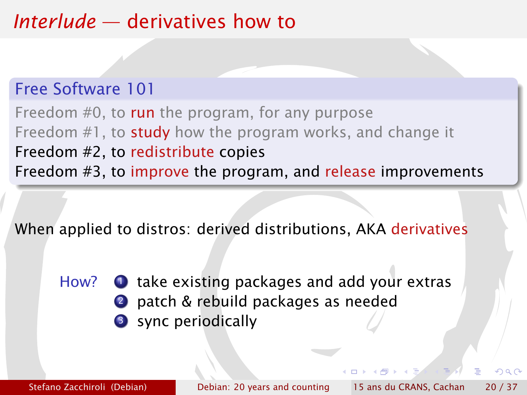## *Interlude* — derivatives how to

#### Free Software 101

Freedom #0, to run the program, for any purpose Freedom #1, to **study** how the program works, and change it Freedom #2, to redistribute copies Freedom #3, to improve the program, and release improvements

When applied to distros: derived distributions, AKA derivatives

How?  $\bullet$  take existing packages and add your extras 2 patch & rebuild packages as needed **3** sync periodically

Stefano Zacchiroli (Debian) [Debian: 20 years and counting](#page-0-0) 15 ans du CRANS, Cachan 20 / 37

 $\alpha \alpha$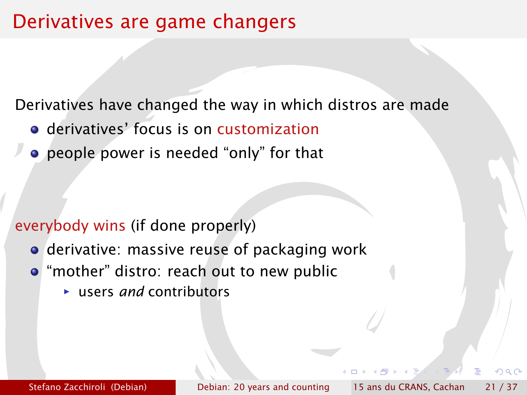## Derivatives are game changers

Derivatives have changed the way in which distros are made

- **o** derivatives' focus is on customization
- people power is needed "only" for that

#### everybody wins (if done properly)

- **•** derivative: massive reuse of packaging work
- **•** "mother" distro: reach out to new public
	- **F** users *and* contributors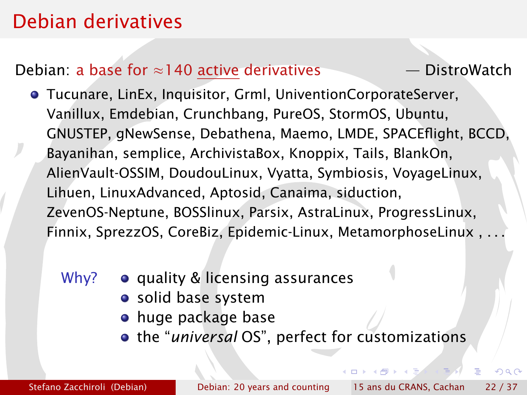## Debian derivatives

#### Debian: a base for ≈140 active derivatives — [DistroWatch](http://distrowatch.com)

- Tucunare, LinEx, Inquisitor, Grml, UniventionCorporateServer, Vanillux, Emdebian, Crunchbang, PureOS, StormOS, Ubuntu, GNUSTEP, gNewSense, Debathena, Maemo, LMDE, SPACEflight, BCCD, Bayanihan, semplice, ArchivistaBox, Knoppix, Tails, BlankOn, AlienVault-OSSIM, DoudouLinux, Vyatta, Symbiosis, VoyageLinux, Lihuen, LinuxAdvanced, Aptosid, Canaima, siduction, ZevenOS-Neptune, BOSSlinux, Parsix, AstraLinux, ProgressLinux, Finnix, SprezzOS, CoreBiz, Epidemic-Linux, MetamorphoseLinux , . . .
	- Why?  $\bullet$  quality & licensing assurances
		- solid base system
		- **•** huge package base
		- the "*universal* OS", perfect for customizations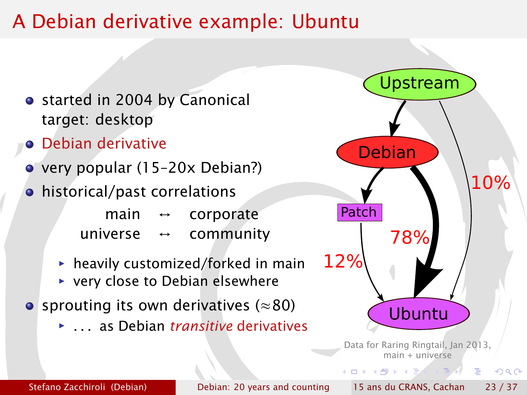## A Debian derivative example: Ubuntu

- started in 2004 by Canonical target: desktop
- **•** Debian derivative
- very popular (15–20x Debian?)
- historical/past correlations
	- main  $\leftrightarrow$  corporate universe ↔ community
	- **hartharhor** heavily customized/forked in main
	- ▶ very close to Debian elsewhere
- sprouting its own derivatives ( $\approx 80$ )
	- *<sup>ñ</sup>* . . . as Debian *transitive* derivatives



<span id="page-24-0"></span> $QQ$ 

4 m x 4 m x 4 m x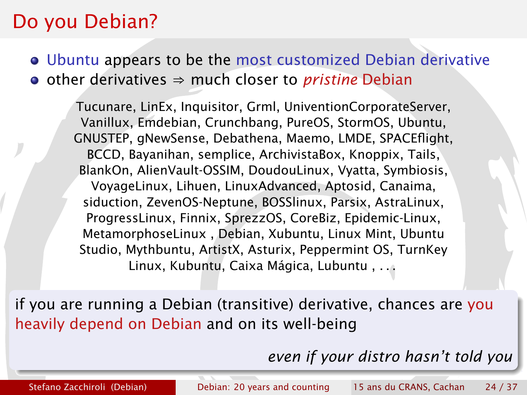#### Do you Debian?

Ubuntu appears to be the most customized Debian derivative • other derivatives ⇒ much closer to *pristine* Debian

Tucunare, LinEx, Inquisitor, Grml, UniventionCorporateServer, Vanillux, Emdebian, Crunchbang, PureOS, StormOS, Ubuntu, GNUSTEP, gNewSense, Debathena, Maemo, LMDE, SPACEflight, BCCD, Bayanihan, semplice, ArchivistaBox, Knoppix, Tails, BlankOn, AlienVault-OSSIM, DoudouLinux, Vyatta, Symbiosis, VoyageLinux, Lihuen, LinuxAdvanced, Aptosid, Canaima, siduction, ZevenOS-Neptune, BOSSlinux, Parsix, AstraLinux, ProgressLinux, Finnix, SprezzOS, CoreBiz, Epidemic-Linux, MetamorphoseLinux , Debian, Xubuntu, Linux Mint, Ubuntu Studio, Mythbuntu, ArtistX, Asturix, Peppermint OS, TurnKey Linux, Kubuntu, Caixa Mágica, Lubuntu , . . .

if you are running a Debian (transitive) derivative, chances are you heavily depend on Debian and on its well-being

<span id="page-25-0"></span>*even if yo[ur](#page-24-0) [di](#page-26-0)[s](#page-24-0)[tr](#page-25-0)[o](#page-26-0)[h](#page-20-0)[a](#page-29-0)[s](#page-30-0)[n](#page-19-0)['t](#page-20-0)[t](#page-30-0)[ol](#page-0-0)[d y](#page-40-0)ou*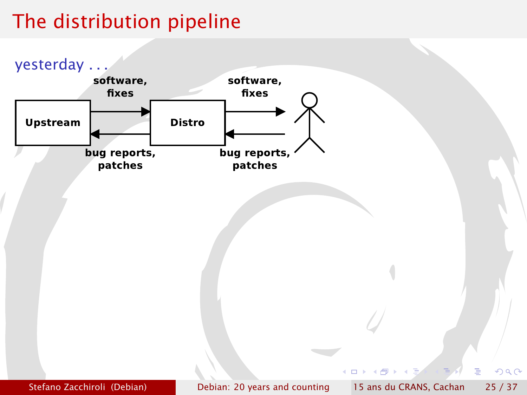## The distribution pipeline

<span id="page-26-0"></span>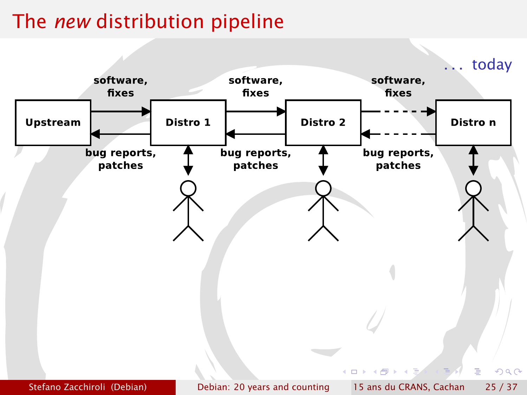# The *new* distribution pipeline

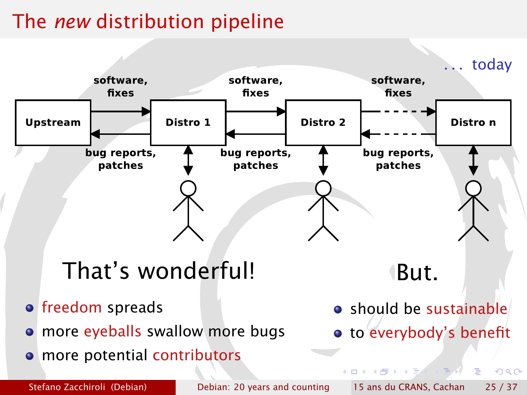# The *new* distribution pipeline

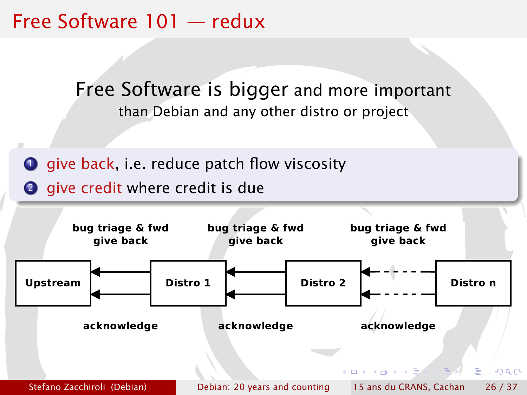Free Software 101 — redux

Free Software is bigger and more important than Debian and any other distro or project

 $\bullet$  give back, i.e. reduce patch flow viscosity

<span id="page-29-0"></span>2 give credit where credit is due

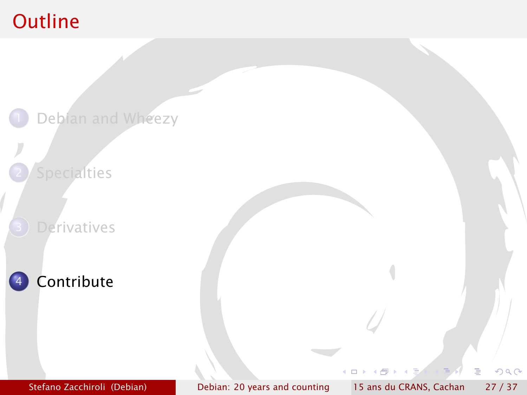## **Outline**

<span id="page-30-0"></span>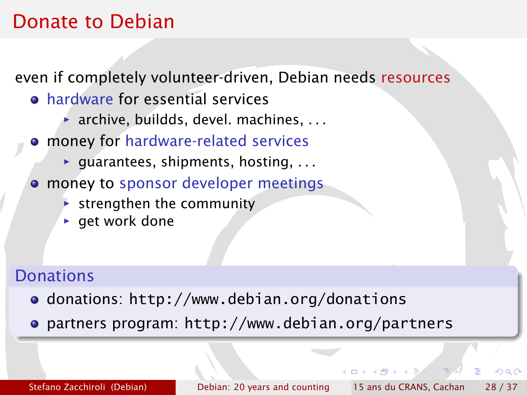## Donate to Debian

even if completely volunteer-driven, Debian needs resources

- **hardware for essential services** 
	- **▶ archive, buildds, devel. machines, ...**
- money for hardware-related services
	- ▶ guarantees, shipments, hosting, . . .
- **money to sponsor developer meetings** 
	- **Follo strengthen the community**
	- **P** get work done

#### **Donations**

- donations: <http://www.debian.org/donations>
- partners program: <http://www.debian.org/partners>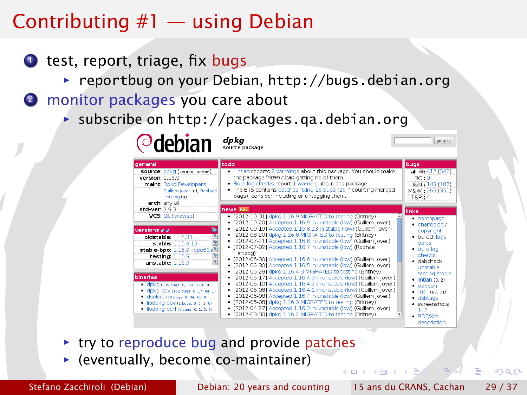## Contributing #1 — using Debian

- $\bullet$  test, report, triage, fix bugs
	- **▶ reportbug on your Debian, <http://bugs.debian.org>**
- 2 monitor packages you care about

**Odobian** dpkg

**▶ subscribe on http://packages.ga.debian.org** 

| general                                                                                                                                                                                                | todo                                                                                                                                                                                                                                                                                                                                                                                                                                                                             | bugs                                                                                                                                         |
|--------------------------------------------------------------------------------------------------------------------------------------------------------------------------------------------------------|----------------------------------------------------------------------------------------------------------------------------------------------------------------------------------------------------------------------------------------------------------------------------------------------------------------------------------------------------------------------------------------------------------------------------------------------------------------------------------|----------------------------------------------------------------------------------------------------------------------------------------------|
| source: dpkg (source, admin)<br>version: 1.16.9<br>maint: Dpkg Developers,<br>Guilem Jover (u), Raphaël<br>Hertzog (u)<br>arch: any all                                                                | . Lintian reports 2 warnings about this package. You should make<br>the package lintian clean getting rid of them.<br>. Build log checks report 1 warning about this package.<br>. The BTS contains patches fixing 16 bugs (29 if counting merged<br>bugs), consider including or untagging them.                                                                                                                                                                                | all @: 412 (542)<br>RC:0<br>IGN: 143 (187)<br>M&W: 265 (351)<br>$F\&P:4$                                                                     |
| std-ver: 3.9.3                                                                                                                                                                                         | news RSS                                                                                                                                                                                                                                                                                                                                                                                                                                                                         | links                                                                                                                                        |
| <b>VCS: Git (browse)</b>                                                                                                                                                                               | · [2012-10-31] dpkg 1.16.9 MIGRATED to testing (Britney)<br>· [2012-10-20] Accepted 1.16.9 in unstable (low) (Guillem lover)                                                                                                                                                                                                                                                                                                                                                     | • homepage<br>$\bullet$ changelog /                                                                                                          |
| 匾<br>versions a a<br>画<br>oldstable: 1.14.31<br>¢<br>stable: 1.15.8.13<br>stable-bpo: 1.16.9~bpo60+<br>¢<br>testing: $1.16.9$<br>unstable: 1.16.9                                                      | · [2012-09-19] Accepted 1.15.8.13 in stable (low) (Guillem lover)<br>· [2012-08-20] dpkg 1.16.8 MIGRATED to testing (Britney)<br>· [2012-07-21] Accepted 1.16.8 in unstable (low) (Guillem Jover)<br>· [2012-07-02] Accepted 1.16.7 in unstable (low) (Raphaël<br>Hertzog)<br>· [2012-06-30] Accepted 1.16.6 in unstable (low) (Guillem lover)<br>· [2012-06-30] Accepted 1.16.5 in unstable (low) (Guillem Jover)<br>· [2012-06-28] dokg 1.16.4.3 MIGRATED to testing (Britney) | copyright<br>· buildd: logs,<br>ports<br>· build log<br>checks<br>· debcheck:<br>unstable                                                    |
| binaries<br>• CDKG (335 bugs: 0, 134, 198, 3)<br>· dpkg-dev (102 bugs: 0, 17, 84, 1)<br>· dselect (99 bugs: 0, 34, 65, 0)<br>· libdpkg-dev (1 bugs: 0, 0, 1, 0)<br>· libdpkg-perl (4 bugs: 0, 1, 3, 0) | · [2012-06-17] Accepted 1.16.4.3 in unstable (low) (Guillem lover)<br>· [2012-06-10] Accepted 1.16.4.2 in unstable (low) (Guillem Jover)<br>· [2012-06-08] Accepted 1.16.4.1 in unstable (low) (Guillem Jover)<br>· [2012-06-08] Accepted 1.16.4 in unstable (low) (Guillem Jover)<br>· [2012-05-08] dpkg 1.16.3 MIGRATED to testing (Britney)<br>· [2012-04-27] Accepted 1.16.3 in unstable (low) (Guillem Jover)<br>· [2012-03-30] dokg 1.16.2 MIGRATED to testing (Britney)   | testing stable<br>$\bullet$ lintian (0, 2)<br>$\bullet$ popcon<br>$+ 10n(67, 71)$<br>$\bullet$ debtags<br>· screenshots:<br>1.2<br>· RDF/XML |

- **► try to reproduce bug and provide patches**
- **F** (eventually, become co-maintainer)

Stefano Zacchiroli (Debian) [Debian: 20 years and counting](#page-0-0) 15 ans du CRANS, Cachan 29 / 37

jumn to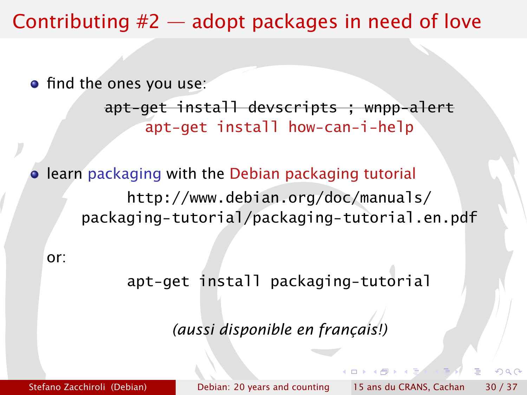## Contributing #2 — adopt packages in need of love

**•** find the ones you use:

apt-get install devscripts ; wnpp-alert apt-get install how-can-i-help

**• learn packaging with the Debian packaging tutorial** [http://www.debian.org/doc/manuals/](http://www.debian.org/doc/manuals/packaging-tutorial/packaging-tutorial.en.pdf) [packaging-tutorial/packaging-tutorial.en.pdf](http://www.debian.org/doc/manuals/packaging-tutorial/packaging-tutorial.en.pdf)

or:

apt-get install packaging-tutorial

*(aussi disponible en français!)*

Stefano Zacchiroli (Debian) [Debian: 20 years and counting](#page-0-0) 15 ans du CRANS, Cachan 30 / 37

 $\alpha \sim$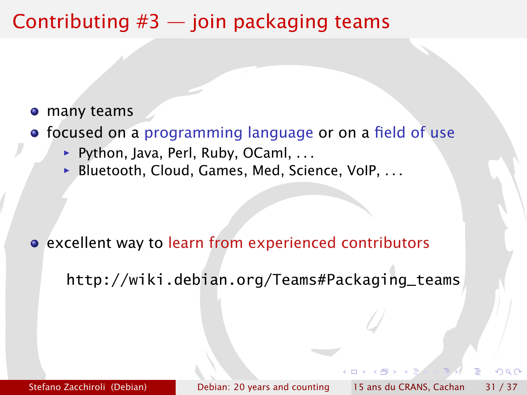## Contributing  $#3$  — join packaging teams

- many teams
- focused on a programming language or on a field of use
	- ▶ Python, Java, Perl, Ruby, OCaml, . . .
	- ▶ Bluetooth, Cloud, Games, Med, Science, VoIP, . . .

excellent way to learn from experienced contributors

[http://wiki.debian.org/Teams#Packaging\\_teams](http://wiki.debian.org/Teams#Packaging_teams)

Stefano Zacchiroli (Debian) [Debian: 20 years and counting](#page-0-0) 15 ans du CRANS, Cachan 31 / 37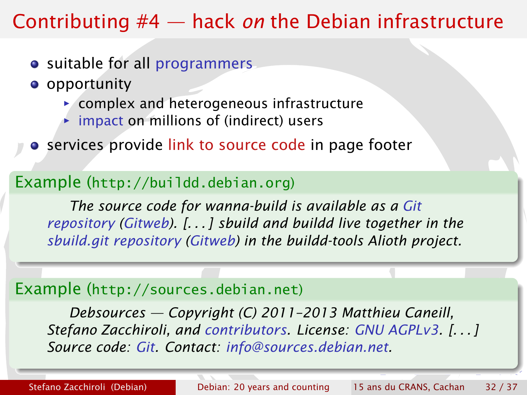## Contributing #4 — hack *on* the Debian infrastructure

- suitable for all programmers
- **o** opportunity
	- $\triangleright$  complex and heterogeneous infrastructure
	- **inpact on millions of (indirect) users**
- **•** services provide link to source code in page footer

#### Example (<http://buildd.debian.org>)

*The source code for wanna-build is available as a [Git](git://git.debian.org/mirror/wanna-build.git) [repository](git://git.debian.org/mirror/wanna-build.git) [\(Gitweb\)](http://git.debian.org/?p=mirror/wanna-build.git;a=summary). [. . . ] sbuild and buildd live together in the [sbuild.git repository](git://git.debian.org/buildd-tools/sbuild.git) [\(Gitweb\)](http://git.debian.org/?p=buildd-tools/sbuild.git) in the buildd-tools Alioth project.*

#### Example (<http://sources.debian.net>)

*Debsources — Copyright (C) 2011–2013 Matthieu Caneill, Stefano Zacchiroli, and [contributors.](http://anonscm.debian.org/gitweb/?p=qa/debsources.git;a=blob;f=AUTHORS;hb=HEAD) License: [GNU AGPLv3.](http://www.gnu.org/licenses/agpl.html) [. . . ] Source code: [Git.](http://anonscm.debian.org/gitweb/?p=qa/debsources.git) Contact: [info@sources.debian.net.](mailto:info@sources.debian.net)*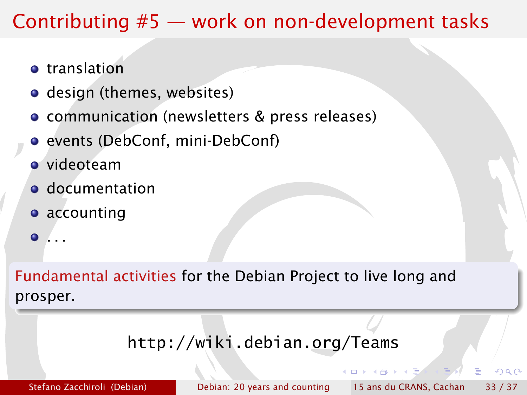## Contributing #5 — work on non-development tasks

- **o** translation
- design (themes, websites)
- communication (newsletters & press releases)
- **•** events (DebConf, mini-DebConf)
- videoteam
- **o** documentation
- **•** accounting
- . . .  $\bullet$

Fundamental activities for the Debian Project to live long and prosper.

#### <http://wiki.debian.org/Teams>

Stefano Zacchiroli (Debian) [Debian: 20 years and counting](#page-0-0) 15 ans du CRANS, Cachan 33 / 37

つQへ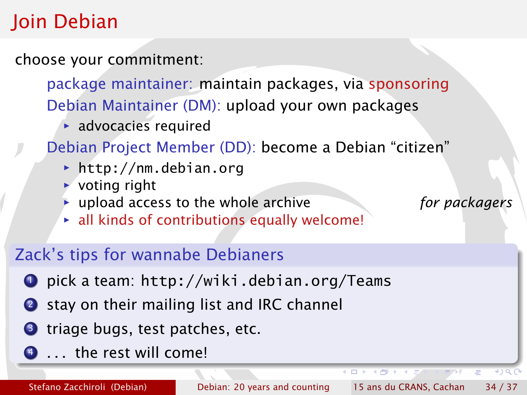## Join Debian

choose your commitment:

package maintainer: maintain packages, via sponsoring Debian Maintainer (DM): upload your own packages

**advocacies required** 

Debian Project Member (DD): become a Debian "citizen"

- *<sup>ñ</sup>* <http://nm.debian.org>
- $\rightarrow$  voting right
- **inc** upload access to the whole archive *for packagers*
- **Exall kinds of contributions equally welcome!**

#### Zack's tips for wannabe Debianers

- <sup>1</sup> pick a team: <http://wiki.debian.org/Teams>
- 2 stay on their mailing list and IRC channel
- **3** triage bugs, test patches, etc.
- <sup>4</sup> . . . the rest will come!

 $\leftarrow$ 

 $\bullet$  ) a  $\cap$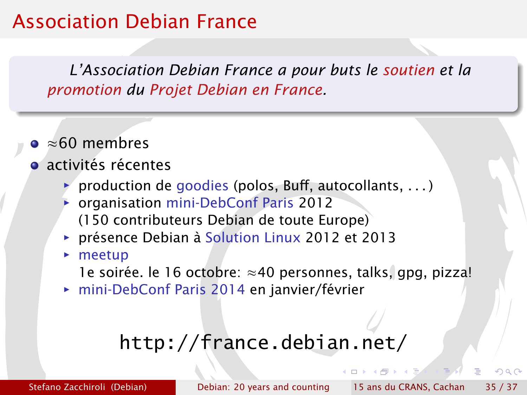## Association Debian France

*L'Association Debian France a pour buts le soutien et la promotion du Projet Debian en France.*

- ≈60 membres
- activités récentes
	- **production de goodies (polos, Buff, autocollants, ...)**
	- **▶ organisation mini-DebConf Paris 2012** (150 contributeurs Debian de toute Europe)
	- **► présence Debian à Solution Linux 2012 et 2013**
	- **F** meetup

1e soirée. le 16 octobre: ≈40 personnes, talks, gpg, pizza!

**► mini-DebConf Paris 2014 en janvier/février** 

## <http://france.debian.net/>

Stefano Zacchiroli (Debian) [Debian: 20 years and counting](#page-0-0) 15 ans du CRANS, Cachan 35 / 37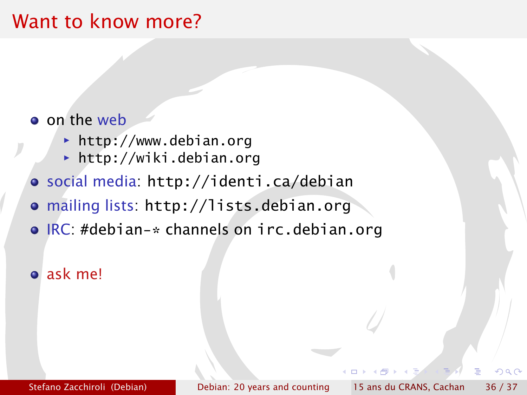## Want to know more?

#### o on the web

- **► <http://www.debian.org>**
- *<sup>ñ</sup>* <http://wiki.debian.org>
- social media: <http://identi.ca/debian>
- mailing lists: <http://lists.debian.org>
- IRC: #debian-\* channels on irc.debian.org

#### ask me!

つQへ